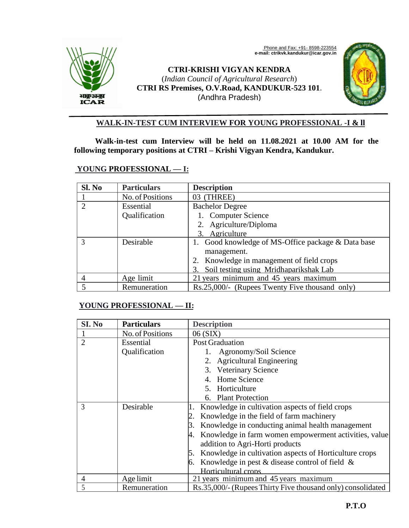

Phone and Fax: +91- 8598-223554  **e-mail: ctrikvk.kandukur@icar.gov.in**

# **CTRI-KRISHI VIGYAN KENDRA** (*Indian Council of Agricultural Research*) **CTRI RS Premises, O.V.Road, KANDUKUR-523 101**. (Andhra Pradesh)



## **WALK-IN-TEST CUM INTERVIEW FOR YOUNG PROFESSIONAL -I & ll**

**Walk-in-test cum Interview will be held on 11.08.2021 at 10.00 AM for the following temporary positions at CTRI – Krishi Vigyan Kendra, Kandukur.** 

### **YOUNG PROFESSIONAL — I:**

| Sl. No                      | <b>Particulars</b> | <b>Description</b>                                 |  |
|-----------------------------|--------------------|----------------------------------------------------|--|
|                             | No. of Positions   | 03 (THREE)                                         |  |
| $\mathcal{D}_{\mathcal{L}}$ | Essential          | <b>Bachelor Degree</b>                             |  |
|                             | Qualification      | 1. Computer Science                                |  |
|                             |                    | 2. Agriculture/Diploma                             |  |
|                             |                    | 3. Agriculture                                     |  |
|                             | Desirable          | 1. Good knowledge of MS-Office package & Data base |  |
|                             |                    | management.                                        |  |
|                             |                    | 2. Knowledge in management of field crops          |  |
|                             |                    | Soil testing using Mridhaparikshak Lab<br>3.       |  |
| 4                           | Age limit          | 21 years minimum and 45 years maximum              |  |
|                             | Remuneration       | Rs.25,000/- (Rupees Twenty Five thousand only)     |  |

### **YOUNG PROFESSIONAL — II:**

| SI. No         | <b>Particulars</b> | <b>Description</b>                                          |
|----------------|--------------------|-------------------------------------------------------------|
|                | No. of Positions   | 06 (SIX)                                                    |
| $\overline{2}$ | Essential          | <b>Post Graduation</b>                                      |
|                | Qualification      | Agronomy/Soil Science                                       |
|                |                    | 2. Agricultural Engineering                                 |
|                |                    | 3. Veterinary Science                                       |
|                |                    | 4. Home Science                                             |
|                |                    | 5. Horticulture                                             |
|                |                    | 6. Plant Protection                                         |
| 3              | Desirable          | 1. Knowledge in cultivation aspects of field crops          |
|                |                    | Knowledge in the field of farm machinery                    |
|                |                    | 3. Knowledge in conducting animal health management         |
|                |                    | 4. Knowledge in farm women empowerment activities, value    |
|                |                    | addition to Agri-Horti products                             |
|                |                    | 5. Knowledge in cultivation aspects of Horticulture crops   |
|                |                    | 6. Knowledge in pest & disease control of field $\&$        |
|                |                    | Horticultural crops                                         |
| 4              | Age limit          | 21 years minimum and 45 years maximum                       |
|                | Remuneration       | Rs.35,000/- (Rupees Thirty Five thousand only) consolidated |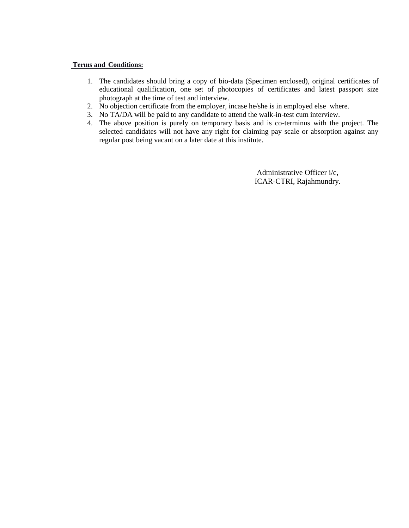#### **Terms and Conditions:**

- 1. The candidates should bring a copy of bio-data (Specimen enclosed), original certificates of educational qualification, one set of photocopies of certificates and latest passport size photograph at the time of test and interview.
- 2. No objection certificate from the employer, incase he/she is in employed else where.
- 3. No TA/DA will be paid to any candidate to attend the walk-in-test cum interview.
- 4. The above position is purely on temporary basis and is co-terminus with the project. The selected candidates will not have any right for claiming pay scale or absorption against any regular post being vacant on a later date at this institute.

 Administrative Officer i/c, ICAR-CTRI, Rajahmundry.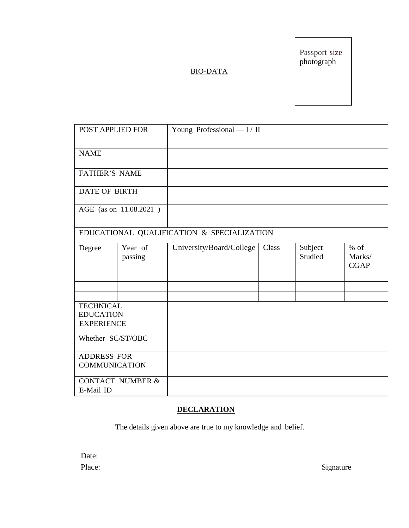Passport size photograph

## BIO-DATA

| POST APPLIED FOR                           |                    | Young Professional - I / II                |       |                    |                                 |  |
|--------------------------------------------|--------------------|--------------------------------------------|-------|--------------------|---------------------------------|--|
| <b>NAME</b>                                |                    |                                            |       |                    |                                 |  |
| <b>FATHER'S NAME</b>                       |                    |                                            |       |                    |                                 |  |
| <b>DATE OF BIRTH</b>                       |                    |                                            |       |                    |                                 |  |
| AGE (as on 11.08.2021)                     |                    |                                            |       |                    |                                 |  |
|                                            |                    | EDUCATIONAL QUALIFICATION & SPECIALIZATION |       |                    |                                 |  |
| Degree                                     | Year of<br>passing | University/Board/College                   | Class | Subject<br>Studied | $%$ of<br>Marks/<br><b>CGAP</b> |  |
|                                            |                    |                                            |       |                    |                                 |  |
|                                            |                    |                                            |       |                    |                                 |  |
| <b>TECHNICAL</b><br><b>EDUCATION</b>       |                    |                                            |       |                    |                                 |  |
| <b>EXPERIENCE</b>                          |                    |                                            |       |                    |                                 |  |
| Whether SC/ST/OBC                          |                    |                                            |       |                    |                                 |  |
| <b>ADDRESS FOR</b><br><b>COMMUNICATION</b> |                    |                                            |       |                    |                                 |  |
| <b>CONTACT NUMBER &amp;</b><br>E-Mail ID   |                    |                                            |       |                    |                                 |  |

## **DECLARATION**

The details given above are true to my knowledge and belief.

| Date:  |
|--------|
| Place: |

Signature